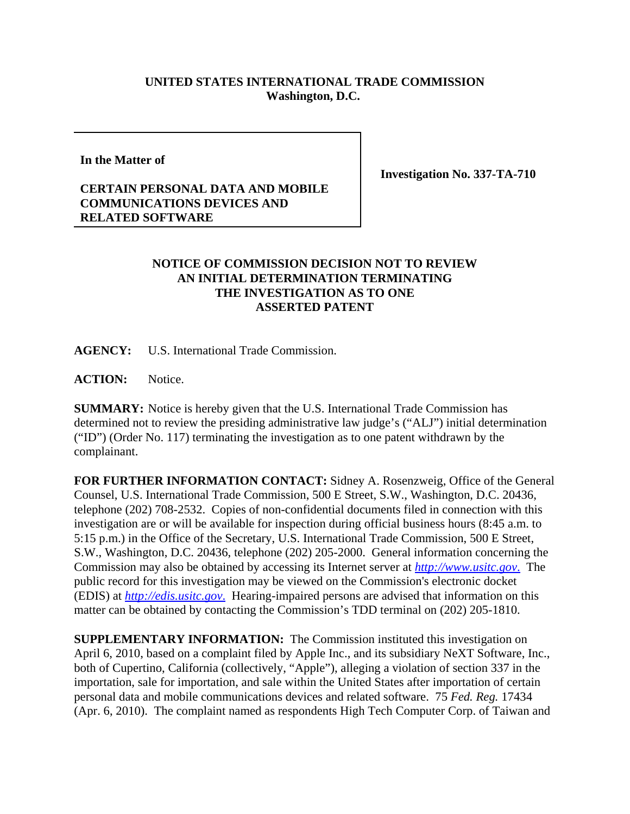## **UNITED STATES INTERNATIONAL TRADE COMMISSION Washington, D.C.**

**In the Matter of**

**Investigation No. 337-TA-710**

## **CERTAIN PERSONAL DATA AND MOBILE COMMUNICATIONS DEVICES AND RELATED SOFTWARE**

## **NOTICE OF COMMISSION DECISION NOT TO REVIEW AN INITIAL DETERMINATION TERMINATING THE INVESTIGATION AS TO ONE ASSERTED PATENT**

**AGENCY:** U.S. International Trade Commission.

ACTION: Notice.

**SUMMARY:** Notice is hereby given that the U.S. International Trade Commission has determined not to review the presiding administrative law judge's ("ALJ") initial determination ("ID") (Order No. 117) terminating the investigation as to one patent withdrawn by the complainant.

**FOR FURTHER INFORMATION CONTACT:** Sidney A. Rosenzweig, Office of the General Counsel, U.S. International Trade Commission, 500 E Street, S.W., Washington, D.C. 20436, telephone (202) 708-2532. Copies of non-confidential documents filed in connection with this investigation are or will be available for inspection during official business hours (8:45 a.m. to 5:15 p.m.) in the Office of the Secretary, U.S. International Trade Commission, 500 E Street, S.W., Washington, D.C. 20436, telephone (202) 205-2000. General information concerning the Commission may also be obtained by accessing its Internet server at *http://www.usitc.gov*. The public record for this investigation may be viewed on the Commission's electronic docket (EDIS) at *http://edis.usitc.gov*. Hearing-impaired persons are advised that information on this matter can be obtained by contacting the Commission's TDD terminal on (202) 205-1810.

**SUPPLEMENTARY INFORMATION:** The Commission instituted this investigation on April 6, 2010, based on a complaint filed by Apple Inc., and its subsidiary NeXT Software, Inc., both of Cupertino, California (collectively, "Apple"), alleging a violation of section 337 in the importation, sale for importation, and sale within the United States after importation of certain personal data and mobile communications devices and related software. 75 *Fed. Reg.* 17434 (Apr. 6, 2010). The complaint named as respondents High Tech Computer Corp. of Taiwan and